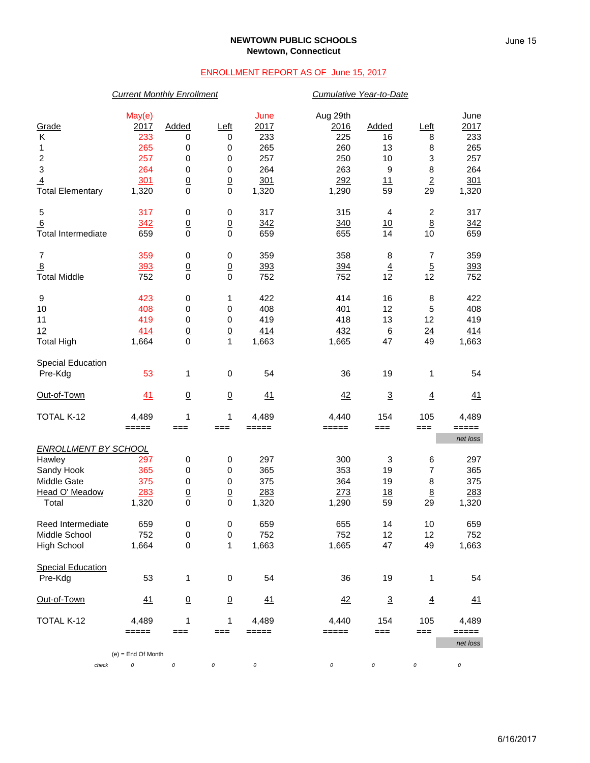#### **NEWTOWN PUBLIC SCHOOLS Newtown, Connecticut**

### ENROLLMENT REPORT AS OF June 15, 2017

# *Current Monthly Enrollment Cumulative Year-to-Date* May(e) June Aug 29th June Grade 2017 Added Left 2017 2016 Added Left 2017 K 233 0 0 233 225 16 8 233 1 265 0 0 265 260 13 8 265 2 257 0 0 257 250 10 3 257 3 264 0 0 264 263 9 8 264 4 301 0 0 301 292 11 2 301 Total Elementary 1,320 0 0 1,320 1,290 59 29 1,320 5 317 0 0 317 315 4 2 317 6 342 0 0 342 340 10 8 342 Total Intermediate 659 0 0 659 655 14 10 659 7 359 0 0 359 358 8 7 359 <u>8 393 0 0 393 394 4 5 393</u> Total Middle 752 0 0 752 752 12 12 752 9 423 0 1 422 414 16 8 422 10 408 0 0 408 401 12 5 408 11 419 0 0 419 418 13 12 419 12 414 0 0 414 432 6 24 414 Total High 1,664 0 1 1,663 1,665 47 49 1,663 **Special Education**  Pre-Kdg 53 1 0 54 36 19 1 54 <u>Out-of-Town 41 0 0 41</u> <u>42 3 4 41</u> TOTAL K-12 4,489 1 1 4,489 4,440 154 105 4,489 ===== === === ===== ===== === === ===== *net loss ENROLLMENT BY SCHOOL* Hawley 297 0 0 297 300 3 6 297 Sandy Hook 365 0 0 365 353 19 7 365 Middle Gate 375 0 0 375 364 19 8 375 <u>Head O' Meadow 283 0 0 283 273 18 8 283</u><br>
19 Total 290 1,320 0 0 1,320 1,290 59 29 1,320 Total 1,320 0 0 1,320 1,290 59 29 1,320 Reed Intermediate 659 0 0 659 655 14 10 659 Middle School 752 0 0 752 752 12 12 752 High School 1,664 0 1 1,663 1,665 47 49 1,663 Special Education<br>Pre-Kdg Pre-Kdg 53 1 0 54 36 19 1 54 <u>Out-of-Town 41 0 0 41</u> <u>42 3 4 41</u> TOTAL K-12 4,489 1 1 4,489 4,440 154 105 4,489 ===== === === ===== ===== === === ===== *net loss* (e) = End Of Month *check 0 0 0 0 0 0 0 0*